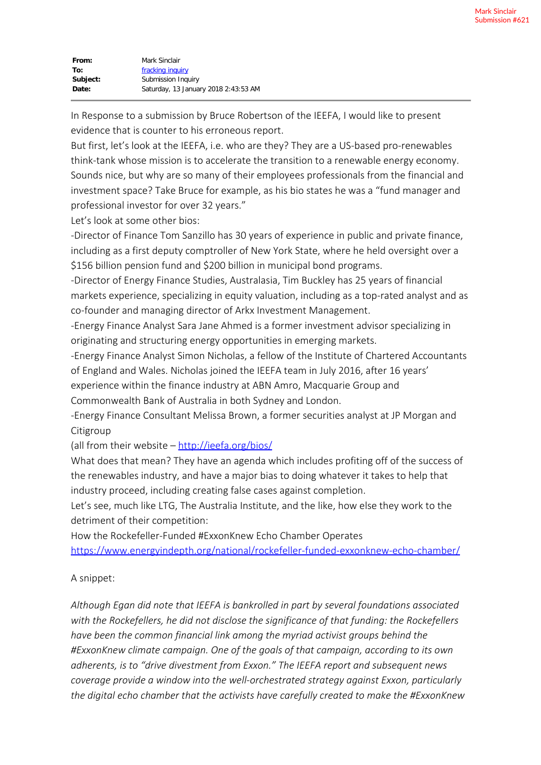| From:    | Mark Sinclair                        |
|----------|--------------------------------------|
| To:      | fracking inquiry                     |
| Subject: | Submission Inquiry                   |
| Date:    | Saturday, 13 January 2018 2:43:53 AM |

In Response to a submission by Bruce Robertson of the IEEFA, I would like to present evidence that is counter to his erroneous report.

But first, let's look at the IEEFA, i.e. who are they? They are a US-based pro-renewables think-tank whose mission is to accelerate the transition to a renewable energy economy. Sounds nice, but why are so many of their employees professionals from the financial and investment space? Take Bruce for example, as his bio states he was a "fund manager and professional investor for over 32 years."

Let's look at some other bios:

-Director of Finance Tom Sanzillo has 30 years of experience in public and private finance, including as a first deputy comptroller of New York State, where he held oversight over a \$156 billion pension fund and \$200 billion in municipal bond programs.

-Director of Energy Finance Studies, Australasia, Tim Buckley has 25 years of financial markets experience, specializing in equity valuation, including as a top-rated analyst and as co-founder and managing director of Arkx Investment Management.

-Energy Finance Analyst Sara Jane Ahmed is a former investment advisor specializing in originating and structuring energy opportunities in emerging markets.

-Energy Finance Analyst Simon Nicholas, a fellow of the Institute of Chartered Accountants of England and Wales. Nicholas joined the IEEFA team in July 2016, after 16 years' experience within the finance industry at ABN Amro, Macquarie Group and Commonwealth Bank of Australia in both Sydney and London.

-Energy Finance Consultant Melissa Brown, a former securities analyst at JP Morgan and

Citigroup

(all from their website –<http://ieefa.org/bios/>

What does that mean? They have an agenda which includes profiting off of the success of the renewables industry, and have a major bias to doing whatever it takes to help that industry proceed, including creating false cases against completion.

Let's see, much like LTG, The Australia Institute, and the like, how else they work to the detriment of their competition:

How the Rockefeller-Funded #ExxonKnew Echo Chamber Operates

<https://www.energyindepth.org/national/rockefeller-funded-exxonknew-echo-chamber/>

## A snippet:

*Although Egan did note that IEEFA is bankrolled in part by several foundations associated with the Rockefellers, he did not disclose the significance of that funding: the Rockefellers have been the common financial link among the myriad activist groups behind the #ExxonKnew climate campaign. One of the goals of that campaign, according to its own adherents, is to "drive divestment from Exxon." The IEEFA report and subsequent news coverage provide a window into the well-orchestrated strategy against Exxon, particularly the digital echo chamber that the activists have carefully created to make the #ExxonKnew*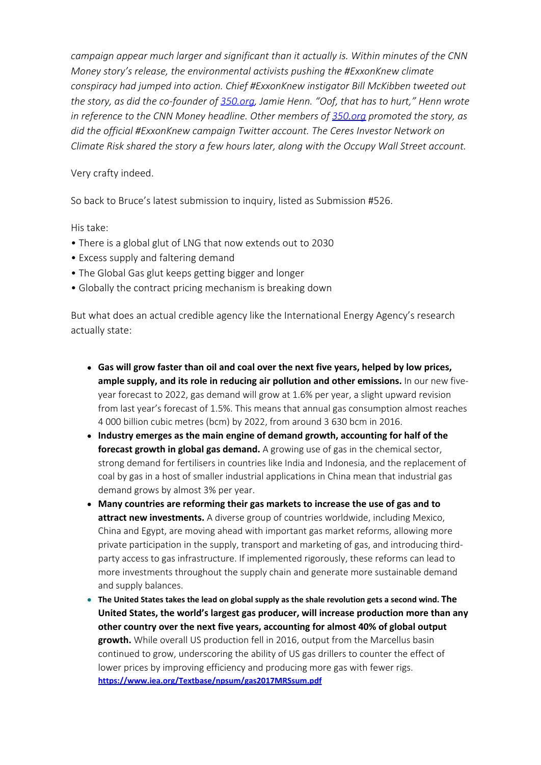*campaign appear much larger and significant than it actually is. Within minutes of the CNN Money story's release, the environmental activists pushing the #ExxonKnew climate conspiracy had jumped into action. Chief #ExxonKnew instigator Bill McKibben tweeted out the story, as did the co-founder of [350.org](http://350.org/), Jamie Henn. "Oof, that has to hurt," Henn wrote in reference to the CNN Money headline. Other members of [350.org](http://350.org/) promoted the story, as did the official #ExxonKnew campaign Twitter account. The Ceres Investor Network on Climate Risk shared the story a few hours later, along with the Occupy Wall Street account.*

## Very crafty indeed.

So back to Bruce's latest submission to inquiry, listed as Submission #526.

His take:

- There is a global glut of LNG that now extends out to 2030
- Excess supply and faltering demand
- The Global Gas glut keeps getting bigger and longer
- Globally the contract pricing mechanism is breaking down

But what does an actual credible agency like the International Energy Agency's research actually state:

- **Gas will grow faster than oil and coal over the next five years, helped by low prices, ample supply, and its role in reducing air pollution and other emissions.** In our new fiveyear forecast to 2022, gas demand will grow at 1.6% per year, a slight upward revision from last year's forecast of 1.5%. This means that annual gas consumption almost reaches 4 000 billion cubic metres (bcm) by 2022, from around 3 630 bcm in 2016.
- **Industry emerges as the main engine of demand growth, accounting for half of the forecast growth in global gas demand.** A growing use of gas in the chemical sector, strong demand for fertilisers in countries like India and Indonesia, and the replacement of coal by gas in a host of smaller industrial applications in China mean that industrial gas demand grows by almost 3% per year.
- **Many countries are reforming their gas markets to increase the use of gas and to attract new investments.** A diverse group of countries worldwide, including Mexico, China and Egypt, are moving ahead with important gas market reforms, allowing more private participation in the supply, transport and marketing of gas, and introducing thirdparty access to gas infrastructure. If implemented rigorously, these reforms can lead to more investments throughout the supply chain and generate more sustainable demand and supply balances.
- **The United States takes the lead on global supply as the shale revolution gets a second wind. The United States, the world's largest gas producer, will increase production more than any other country over the next five years, accounting for almost 40% of global output growth.** While overall US production fell in 2016, output from the Marcellus basin continued to grow, underscoring the ability of US gas drillers to counter the effect of lower prices by improving efficiency and producing more gas with fewer rigs. **<https://www.iea.org/Textbase/npsum/gas2017MRSsum.pdf>**